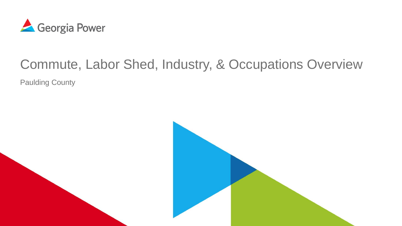

# Commute, Labor Shed, Industry, & Occupations Overview

Paulding County

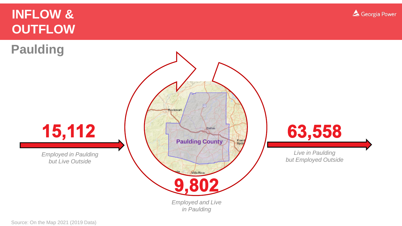# **INFLOW & OUTFLOW**

**Paulding**



Georgia Power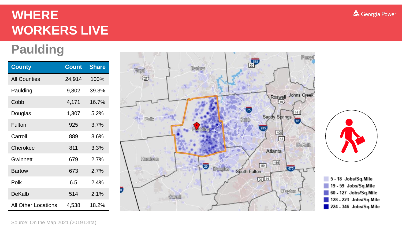# **WHERE WORKERS LIVE**

# **Paulding**

| <b>County</b>              | <b>Count</b> | <b>Share</b> |
|----------------------------|--------------|--------------|
| <b>All Counties</b>        | 24,914       | 100%         |
| Paulding                   | 9,802        | 39.3%        |
| Cobb                       | 4,171        | 16.7%        |
| Douglas                    | 1,307        | 5.2%         |
| Fulton                     | 925          | 3.7%         |
| Carroll                    | 889          | 3.6%         |
| Cherokee                   | 811          | 3.3%         |
| Gwinnett                   | 679          | 2.7%         |
| <b>Bartow</b>              | 673          | 2.7%         |
| Polk                       | 6.5          | 2.4%         |
| DeKalb                     | 514          | 2.1%         |
| <b>All Other Locations</b> | 4,538        | 18.2%        |





5 - 18 Jobs/Sq.Mile 19 - 59 Jobs/Sq.Mile 60 - 127 Jobs/Sq.Mile 128 - 223 Jobs/Sq.Mile 224 - 346 Jobs/Sq.Mile



Source: On the Map 2021 (2019 Data)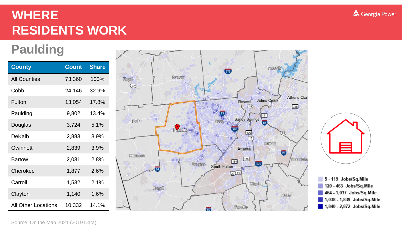# **WHERE RESIDENTS WORK**

# **Paulding**

| <b>County</b>              | <b>Count</b> | <b>Share</b> |
|----------------------------|--------------|--------------|
| <b>All Counties</b>        | 73,360       | 100%         |
| Cobb                       | 24,146       | 32.9%        |
| Fulton                     | 13,054       | 17.8%        |
| Paulding                   | 9,802        | 13.4%        |
| Douglas                    | 3,724        | 5.1%         |
| DeKalh                     | 2,883        | 3.9%         |
| <b>Gwinnett</b>            | 2,839        | 3.9%         |
| <b>Bartow</b>              | 2,031        | 2.8%         |
| Cherokee                   | 1,877        | 2.6%         |
| Carroll                    | 1,532        | 2.1%         |
| Clayton                    | 1,140        | 1.6%         |
| <b>All Other Locations</b> | 10,332       | 14.1%        |





5 - 119 Jobs/Sq.Mile 120 - 463 Jobs/Sq.Mile 464 - 1,037 Jobs/Sq.Mile 1,038 - 1,839 Jobs/Sq.Mile  $1,840 - 2,872$  Jobs/Sq.Mile



#### Source: On the Map 2021 (2019 Data)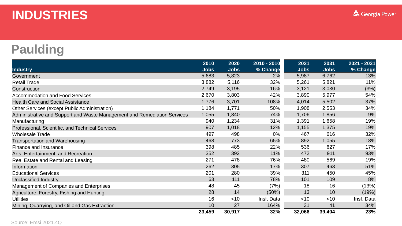#### **INDUSTRIES**

### **Paulding**

|                                                                          | 2010        | 2020        | 2010 - 2010 | 2021        | 2031        | 2021 - 2031 |
|--------------------------------------------------------------------------|-------------|-------------|-------------|-------------|-------------|-------------|
| <b>Industry</b>                                                          | <b>Jobs</b> | <b>Jobs</b> | % Change    | <b>Jobs</b> | <b>Jobs</b> | % Change    |
| Government                                                               | 5,683       | 5,823       | 2%          | 5,987       | 6,762       | 13%         |
| <b>Retail Trade</b>                                                      | 3,882       | 5,116       | 32%         | 5,261       | 5,821       | 11%         |
| Construction                                                             | 2,749       | 3,195       | 16%         | 3,121       | 3,030       | (3%)        |
| <b>Accommodation and Food Services</b>                                   | 2,670       | 3,803       | 42%         | 3,890       | 5,977       | 54%         |
| <b>Health Care and Social Assistance</b>                                 | 1,776       | 3,701       | 108%        | 4,014       | 5,502       | 37%         |
| Other Services (except Public Administration)                            | 1,184       | 1,771       | 50%         | 1,908       | 2,553       | 34%         |
| Administrative and Support and Waste Management and Remediation Services | 1,055       | 1,840       | 74%         | 1,706       | 1,856       | 9%          |
| Manufacturing                                                            | 940         | 1,234       | 31%         | 1,391       | 1,658       | 19%         |
| Professional, Scientific, and Technical Services                         | 907         | 1,018       | 12%         | 1,155       | 1,375       | 19%         |
| <b>Wholesale Trade</b>                                                   | 497         | 498         | 0%          | 467         | 616         | 32%         |
| <b>Transportation and Warehousing</b>                                    | 468         | 773         | 65%         | 892         | 1,055       | 18%         |
| Finance and Insurance                                                    | 398         | 485         | 22%         | 536         | 627         | 17%         |
| Arts, Entertainment, and Recreation                                      | 352         | 392         | 11%         | 472         | 911         | 93%         |
| Real Estate and Rental and Leasing                                       | 271         | 478         | 76%         | 480         | 569         | 19%         |
| Information                                                              | 262         | 305         | 17%         | 307         | 463         | 51%         |
| <b>Educational Services</b>                                              | 201         | 280         | 39%         | 311         | 450         | 45%         |
| <b>Unclassified Industry</b>                                             | 63          | 111         | 78%         | 101         | 109         | 8%          |
| Management of Companies and Enterprises                                  | 48          | 45          | (7%)        | 18          | 16          | (13%)       |
| Agriculture, Forestry, Fishing and Hunting                               | 28          | 14          | $(50\%)$    | 13          | 10          | (19%)       |
| <b>Utilities</b>                                                         | 16          | $<$ 10      | Insf. Data  | $<$ 10      | $<$ 10      | Insf. Data  |
| Mining, Quarrying, and Oil and Gas Extraction                            | 10          | 27          | 164%        | 31          | 41          | 34%         |
|                                                                          | 23,459      | 30,917      | 32%         | 32,066      | 39,404      | 23%         |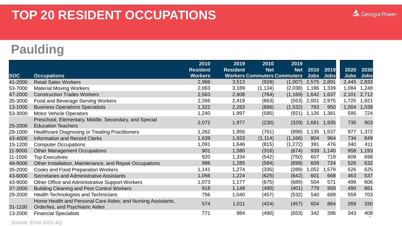#### **Paulding**

|            |                                                                                                  | 2010            | 2019            | 2010                               | 2019       |             |             |       |             |
|------------|--------------------------------------------------------------------------------------------------|-----------------|-----------------|------------------------------------|------------|-------------|-------------|-------|-------------|
|            |                                                                                                  | <b>Resident</b> | <b>Resident</b> | <b>Net</b>                         | <b>Net</b> | 2010        | 2019        | 2020  | 2030        |
| <b>SOC</b> | <b>Occupations</b>                                                                               | <b>Workers</b>  |                 | <b>Workers Commuters Commuters</b> |            | <b>Jobs</b> | <b>Jobs</b> | Jobs  | <b>Jobs</b> |
| 41-2000    | <b>Retail Sales Workers</b>                                                                      | 2,986           | 3,513           | (928)                              | (1,007)    | 2,575       | 2,891       | 2,445 | 2,833       |
| 53-7000    | <b>Material Moving Workers</b>                                                                   | 2,063           | 3,189           | (1, 134)                           | (2,038)    | 1,186       | 1,339       | 1,084 | 1,248       |
| 47-2000    | <b>Construction Trades Workers</b>                                                               | 2,563           | 2,808           | (764)                              | (1, 169)   | 1,642       | 1,637       | 2,101 | 2,712       |
| 35-3000    | Food and Beverage Serving Workers                                                                | 2,266           | 2,419           | (663)                              | (553)      | 2,001       | 2,975       | 1,725 | 1,921       |
| 13-1000    | <b>Business Operations Specialists</b>                                                           | 1,322           | 2,283           | (886)                              | (1,532)    | 783         | 950         | 1,004 | 1,038       |
| 53-3000    | <b>Motor Vehicle Operators</b>                                                                   | 1,240           | 1,997           | (595)                              | (921)      | 1,126       | 1,381       | 595   | 724         |
| 25-2000    | Preschool, Elementary, Middle, Secondary, and Special<br><b>Education Teachers</b>               | 2,072           | 1,977           | (230)                              | (329)      | 1,681       | 1,935       | 735   | 903         |
| 29-1000    | <b>Healthcare Diagnosing or Treating Practitioners</b>                                           | 1,262           | 1,956           | (761)                              | (898)      | 1,135       | 1,537       | 977   | ,372        |
| 43-4000    | <b>Information and Record Clerks</b>                                                             | 1,639           | 1,933           | (1, 114)                           | (1, 166)   | 804         | 964         | 734   | 849         |
| 15-1200    | <b>Computer Occupations</b>                                                                      | 1,091           | 1,646           | (815)                              | (1, 272)   | 391         | 476         | 340   | 411         |
| 11-9000    | <b>Other Management Occupations</b>                                                              | 901             | 1,580           | (316)                              | (674)      | 939         | 1,140       | 958   | 1,193       |
| 11-1000    | <b>Top Executives</b>                                                                            | 920             | 1,334           | (542)                              | (750)      | 607         | 719         | 609   | 698         |
| 49-9000    | Other Installation, Maintenance, and Repair Occupations                                          | 986             | 1,285           | (584)                              | (699)      | 609         | 724         | 526   | 632         |
| 35-2000    | <b>Cooks and Food Preparation Workers</b>                                                        | 1,141           | 1,274           | (335)                              | (289)      | 1,052       | ,579        | 526   | 625         |
| 43-6000    | Secretaries and Administrative Assistants                                                        | 1,056           | 1,224           | (625)                              | (642)      | 601         | 668         | 463   | 537         |
| 43-9000    | Other Office and Administrative Support Workers                                                  | 1,073           | 1,177           | (675)                              | (689)      | 504         | 571         | 499   | 606         |
| 37-2000    | <b>Building Cleaning and Pest Control Workers</b>                                                | 918             | 1,148           | (490)                              | (401)      | 779         | 959         | 490   | 661         |
| 29-2000    | Health Technologists and Technicians                                                             | 756             | 1,040           | (457)                              | (532)      | 540         | 689         | 559   | 703         |
| 31-1100    | Home Health and Personal Care Aides; and Nursing Assistants,<br>Orderlies, and Psychiatric Aides | 574             | 1,011           | (424)                              | (457)      | 604         | 864         | 269   | 330         |
| 13-2000    | <b>Financial Specialists</b>                                                                     | 771             | 984             | (490)                              | (653)      | 342         | 396         | 343   | 408         |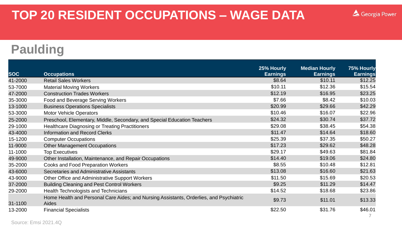### **TOP 20 RESIDENT OCCUPATIONS – WAGE DATA**

#### **Paulding**

| <b>SOC</b> | <b>Occupations</b>                                                                      | 25% Hourly<br><b>Earnings</b> | <b>Median Hourly</b><br><b>Earnings</b> | 75% Hourly<br><b>Earnings</b> |
|------------|-----------------------------------------------------------------------------------------|-------------------------------|-----------------------------------------|-------------------------------|
| 41-2000    | <b>Retail Sales Workers</b>                                                             | \$8.64                        | \$10.11                                 | \$12.25                       |
| 53-7000    | <b>Material Moving Workers</b>                                                          | \$10.11                       | \$12.36                                 | \$15.54                       |
| 47-2000    | <b>Construction Trades Workers</b>                                                      | \$12.19                       | \$16.95                                 | \$23.25                       |
| 35-3000    | <b>Food and Beverage Serving Workers</b>                                                | \$7.66                        | \$8.42                                  | \$10.03                       |
| 13-1000    | <b>Business Operations Specialists</b>                                                  | \$20.99                       | \$29.66                                 | \$42.29                       |
| 53-3000    | <b>Motor Vehicle Operators</b>                                                          | \$10.46                       | \$16.07                                 | \$22.96                       |
| 25-2000    | Preschool, Elementary, Middle, Secondary, and Special Education Teachers                | \$24.32                       | \$30.74                                 | \$37.72                       |
| 29-1000    | <b>Healthcare Diagnosing or Treating Practitioners</b>                                  | \$29.08                       | \$38.45                                 | \$54.38                       |
| 43-4000    | <b>Information and Record Clerks</b>                                                    | \$11.47                       | \$14.64                                 | \$18.60                       |
| 15-1200    | <b>Computer Occupations</b>                                                             | \$25.39                       | \$37.35                                 | \$50.27                       |
| 11-9000    | <b>Other Management Occupations</b>                                                     | \$17.23                       | \$29.62                                 | \$48.28                       |
| 11-1000    | <b>Top Executives</b>                                                                   | \$29.17                       | \$49.63                                 | \$81.84                       |
| 49-9000    | Other Installation, Maintenance, and Repair Occupations                                 | \$14.40                       | \$19.06                                 | \$24.80                       |
| 35-2000    | <b>Cooks and Food Preparation Workers</b>                                               | \$8.55                        | \$10.48                                 | \$12.81                       |
| 43-6000    | Secretaries and Administrative Assistants                                               | \$13.08                       | \$16.60                                 | \$21.63                       |
| 43-9000    | Other Office and Administrative Support Workers                                         | \$11.50                       | \$15.69                                 | \$20.53                       |
| 37-2000    | <b>Building Cleaning and Pest Control Workers</b>                                       | \$9.25                        | \$11.29                                 | \$14.47                       |
| 29-2000    | <b>Health Technologists and Technicians</b>                                             | \$14.52                       | \$18.68                                 | \$23.86                       |
|            | Home Health and Personal Care Aides; and Nursing Assistants, Orderlies, and Psychiatric | \$9.73                        | \$11.01                                 | \$13.33                       |
| 31-1100    | <b>Aides</b>                                                                            |                               |                                         |                               |
| 13-2000    | <b>Financial Specialists</b>                                                            | \$22.50                       | \$31.76                                 | \$46.01                       |

Georgia Power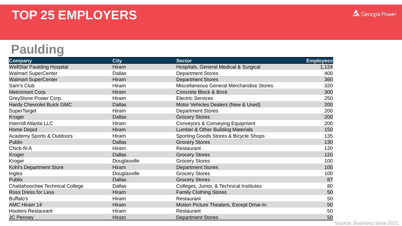#### **Paulding**

| <b>Company</b>                         | <b>City</b>   | <b>Sector</b>                                | <b>Employees</b> |
|----------------------------------------|---------------|----------------------------------------------|------------------|
| <b>WellStar Paulding Hospital</b>      | <b>Hiram</b>  | Hospitals, General Medical & Surgical        | 1,124            |
| <b>Walmart SuperCenter</b>             | <b>Dallas</b> | <b>Department Stores</b>                     | 400              |
| <b>Walmart SuperCenter</b>             | Hiram         | <b>Department Stores</b>                     | 360              |
| Sam's Club                             | Hiram         | Miscellaneous General Merchandise Stores     | 320              |
| Metromont Corp.                        | Hiram         | <b>Concrete Block &amp; Brick</b>            | 300              |
| GreyStone Power Corp.                  | <b>Hiram</b>  | <b>Electric Services</b>                     | 250              |
| Hardy Chevrolet Buick GMC              | <b>Dallas</b> | Motor Vehicles Dealers (New & Used)          | 200              |
| <b>SuperTarget</b>                     | <b>Hiram</b>  | <b>Department Stores</b>                     | 200              |
| Kroger                                 | <b>Dallas</b> | <b>Grocery Stores</b>                        | 200              |
| <b>Interroll Atlanta LLC</b>           | Hiram         | <b>Conveyors &amp; Conveying Equipment</b>   | 200              |
| <b>Home Depot</b>                      | <b>Hiram</b>  | <b>Lumber &amp; Other Building Materials</b> | 150              |
| Academy Sports & Outdoors              | Hiram         | Sporting Goods Stores & Bicycle Shops        | 135              |
| <b>Publix</b>                          | <b>Dallas</b> | <b>Grocery Stores</b>                        | 130              |
| Chick-fil-A                            | <b>Hiram</b>  | Restaurant                                   | 120              |
| Kroger                                 | <b>Dallas</b> | <b>Grocery Stores</b>                        | 120              |
| Kroger                                 | Douglasville  | <b>Grocery Stores</b>                        | 100              |
| Kohl's Department Store                | Hiram         | <b>Department Stores</b>                     | 100              |
| Ingles                                 | Douglasville  | <b>Grocery Stores</b>                        | 100              |
| <b>Publix</b>                          | <b>Dallas</b> | <b>Grocery Stores</b>                        | 87               |
| <b>Chattahoochee Technical College</b> | <b>Dallas</b> | Colleges, Junior, & Technical Institutes     | 80               |
| <b>Ross Dress for Less</b>             | Hiram         | <b>Family Clothing Stores</b>                | 50               |
| Buffalo's                              | Hiram         | Restaurant                                   | 50               |
| <b>AMC Hiram 14</b>                    | Hiram         | Motion Picture Theaters, Except Drive-In     | 50               |
| <b>Hooters Restaurant</b>              | Hiram         | Restaurant                                   | 50               |
| <b>JC Penney</b>                       | Hiram         | <b>Department Stores</b>                     | 50               |

Source: Business Wise 2021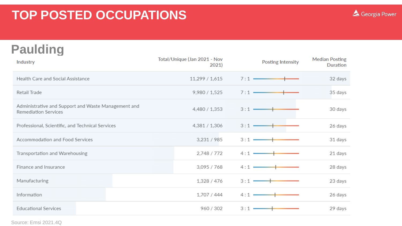### **Paulding**

| <b>Industry</b>                                                             | Total/Unique (Jan 2021 - Nov<br>2021) | <b>Posting Intensity</b> | <b>Median Posting</b><br><b>Duration</b> |
|-----------------------------------------------------------------------------|---------------------------------------|--------------------------|------------------------------------------|
| Health Care and Social Assistance                                           | 11,299 / 1,615                        | 7:1                      | 32 days                                  |
| Retail Trade                                                                | 9,980 / 1,525                         | 7:1                      | 35 days                                  |
| Administrative and Support and Waste Management and<br>Remediation Services | 4,480 / 1,353                         | $3:1 -$                  | 30 days                                  |
| Professional, Scientific, and Technical Services                            | 4,381 / 1,306                         | $3:1 -$                  | 26 days                                  |
| Accommodation and Food Services                                             | 3,231/985                             | 3:1                      | 31 days                                  |
| Transportation and Warehousing                                              | 2,748 / 772                           | 4:1                      | 21 days                                  |
| Finance and Insurance                                                       | 3,095 / 768                           | 4:1                      | 28 days                                  |
| Manufacturing                                                               | 1,328 / 476                           | 3:1                      | 23 days                                  |
| Information                                                                 | 1,707 / 444                           | $4:1 -$                  | 26 days                                  |
| <b>Educational Services</b>                                                 | 960 / 302                             | 3:1                      | 29 days                                  |